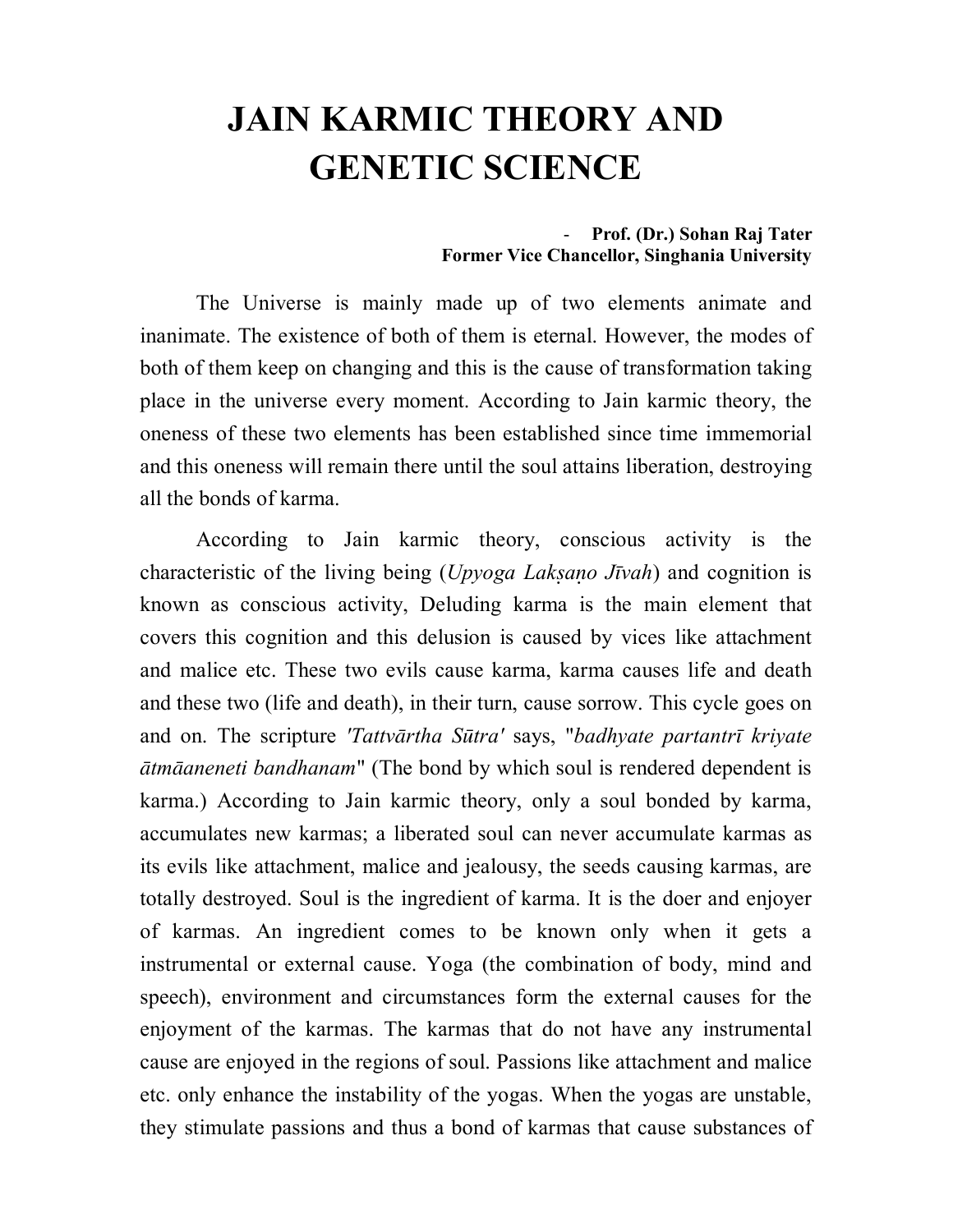# **JAIN KARMIC THEORY AND GENETIC SCIENCE**

#### - **Prof. (Dr.) Sohan Raj Tater Former Vice Chancellor, Singhania University**

The Universe is mainly made up of two elements animate and inanimate. The existence of both of them is eternal. However, the modes of both of them keep on changing and this is the cause of transformation taking place in the universe every moment. According to Jain karmic theory, the oneness of these two elements has been established since time immemorial and this oneness will remain there until the soul attains liberation, destroying all the bonds of karma.

According to Jain karmic theory, conscious activity is the characteristic of the living being (*Upyoga Lakao Jvah*) and cognition is known as conscious activity, Deluding karma is the main element that covers this cognition and this delusion is caused by vices like attachment and malice etc. These two evils cause karma, karma causes life and death and these two (life and death), in their turn, cause sorrow. This cycle goes on and on. The scripture *'Tattvārtha Sūtra'* says, "*badhyate partantrī kriyate tmaneneti bandhanam*" (The bond by which soul is rendered dependent is karma.) According to Jain karmic theory, only a soul bonded by karma, accumulates new karmas; a liberated soul can never accumulate karmas as its evils like attachment, malice and jealousy, the seeds causing karmas, are totally destroyed. Soul is the ingredient of karma. It is the doer and enjoyer of karmas. An ingredient comes to be known only when it gets a instrumental or external cause. Yoga (the combination of body, mind and speech), environment and circumstances form the external causes for the enjoyment of the karmas. The karmas that do not have any instrumental cause are enjoyed in the regions of soul. Passions like attachment and malice etc. only enhance the instability of the yogas. When the yogas are unstable, they stimulate passions and thus a bond of karmas that cause substances of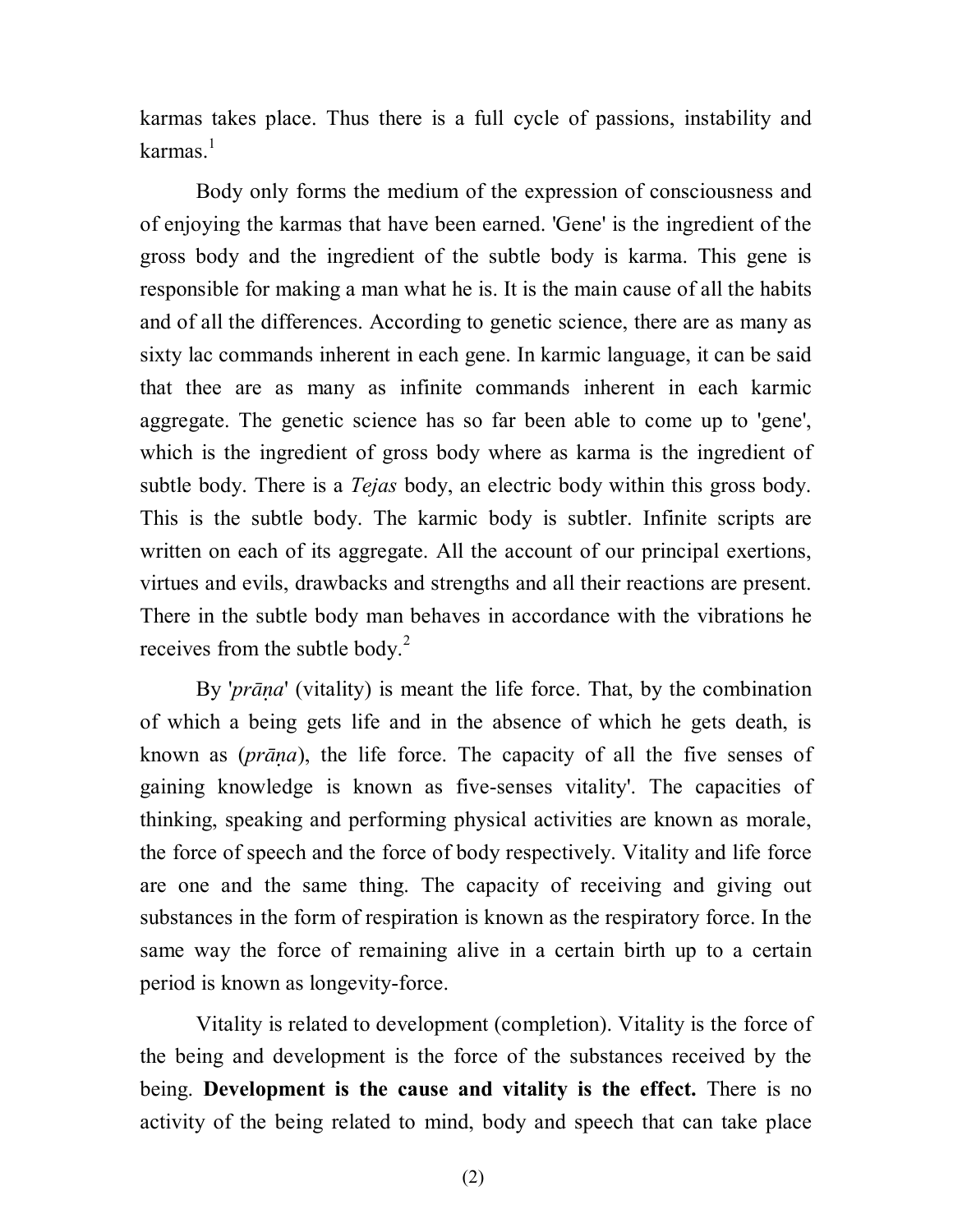karmas takes place. Thus there is a full cycle of passions, instability and karmas $^{-1}$ 

Body only forms the medium of the expression of consciousness and of enjoying the karmas that have been earned. 'Gene' is the ingredient of the gross body and the ingredient of the subtle body is karma. This gene is responsible for making a man what he is. It is the main cause of all the habits and of all the differences. According to genetic science, there are as many as sixty lac commands inherent in each gene. In karmic language, it can be said that thee are as many as infinite commands inherent in each karmic aggregate. The genetic science has so far been able to come up to 'gene', which is the ingredient of gross body where as karma is the ingredient of subtle body. There is a *Tejas* body, an electric body within this gross body. This is the subtle body. The karmic body is subtler. Infinite scripts are written on each of its aggregate. All the account of our principal exertions, virtues and evils, drawbacks and strengths and all their reactions are present. There in the subtle body man behaves in accordance with the vibrations he receives from the subtle body.<sup>2</sup>

By '*prāna*' (vitality) is meant the life force. That, by the combination of which a being gets life and in the absence of which he gets death, is known as (*pra*), the life force. The capacity of all the five senses of gaining knowledge is known as five-senses vitality'. The capacities of thinking, speaking and performing physical activities are known as morale, the force of speech and the force of body respectively. Vitality and life force are one and the same thing. The capacity of receiving and giving out substances in the form of respiration is known as the respiratory force. In the same way the force of remaining alive in a certain birth up to a certain period is known as longevity-force.

Vitality is related to development (completion). Vitality is the force of the being and development is the force of the substances received by the being. **Development is the cause and vitality is the effect.** There is no activity of the being related to mind, body and speech that can take place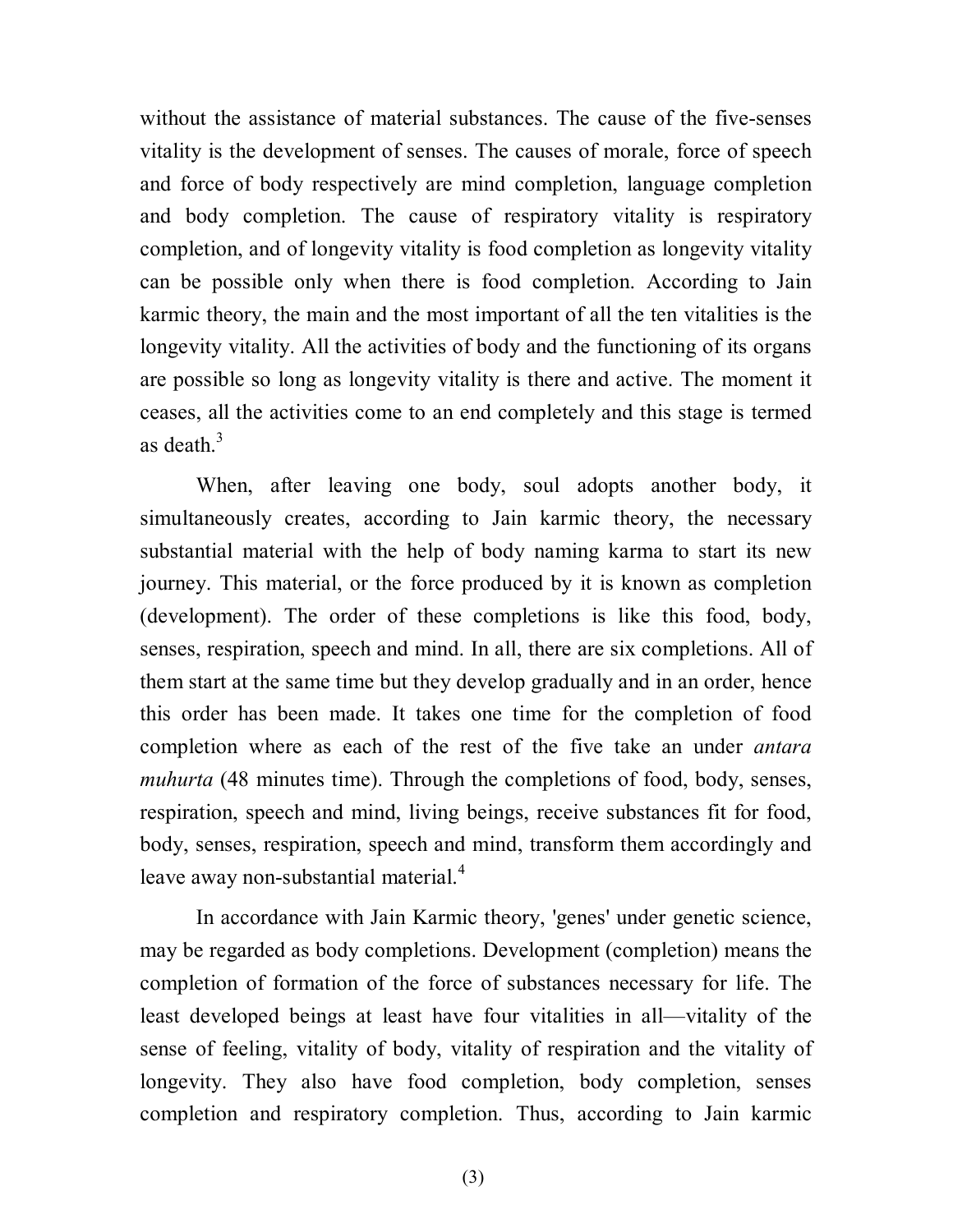without the assistance of material substances. The cause of the five-senses vitality is the development of senses. The causes of morale, force of speech and force of body respectively are mind completion, language completion and body completion. The cause of respiratory vitality is respiratory completion, and of longevity vitality is food completion as longevity vitality can be possible only when there is food completion. According to Jain karmic theory, the main and the most important of all the ten vitalities is the longevity vitality. All the activities of body and the functioning of its organs are possible so long as longevity vitality is there and active. The moment it ceases, all the activities come to an end completely and this stage is termed as death. $3$ 

When, after leaving one body, soul adopts another body, it simultaneously creates, according to Jain karmic theory, the necessary substantial material with the help of body naming karma to start its new journey. This material, or the force produced by it is known as completion (development). The order of these completions is like this food, body, senses, respiration, speech and mind. In all, there are six completions. All of them start at the same time but they develop gradually and in an order, hence this order has been made. It takes one time for the completion of food completion where as each of the rest of the five take an under *antara muhurta* (48 minutes time). Through the completions of food, body, senses, respiration, speech and mind, living beings, receive substances fit for food, body, senses, respiration, speech and mind, transform them accordingly and leave away non-substantial material. $4$ 

In accordance with Jain Karmic theory, 'genes' under genetic science, may be regarded as body completions. Development (completion) means the completion of formation of the force of substances necessary for life. The least developed beings at least have four vitalities in all—vitality of the sense of feeling, vitality of body, vitality of respiration and the vitality of longevity. They also have food completion, body completion, senses completion and respiratory completion. Thus, according to Jain karmic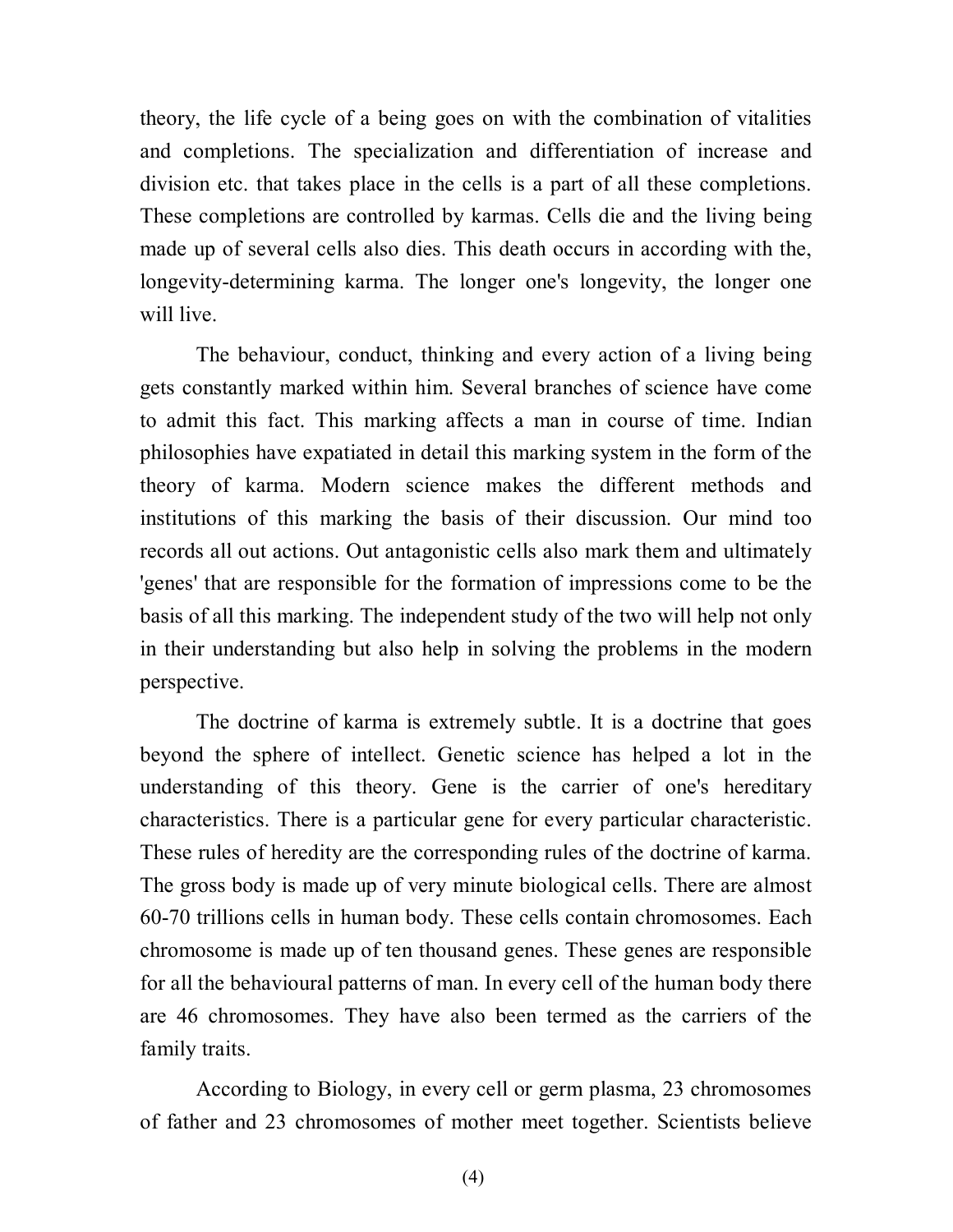theory, the life cycle of a being goes on with the combination of vitalities and completions. The specialization and differentiation of increase and division etc. that takes place in the cells is a part of all these completions. These completions are controlled by karmas. Cells die and the living being made up of several cells also dies. This death occurs in according with the, longevity-determining karma. The longer one's longevity, the longer one will live.

The behaviour, conduct, thinking and every action of a living being gets constantly marked within him. Several branches of science have come to admit this fact. This marking affects a man in course of time. Indian philosophies have expatiated in detail this marking system in the form of the theory of karma. Modern science makes the different methods and institutions of this marking the basis of their discussion. Our mind too records all out actions. Out antagonistic cells also mark them and ultimately 'genes' that are responsible for the formation of impressions come to be the basis of all this marking. The independent study of the two will help not only in their understanding but also help in solving the problems in the modern perspective.

The doctrine of karma is extremely subtle. It is a doctrine that goes beyond the sphere of intellect. Genetic science has helped a lot in the understanding of this theory. Gene is the carrier of one's hereditary characteristics. There is a particular gene for every particular characteristic. These rules of heredity are the corresponding rules of the doctrine of karma. The gross body is made up of very minute biological cells. There are almost 60-70 trillions cells in human body. These cells contain chromosomes. Each chromosome is made up of ten thousand genes. These genes are responsible for all the behavioural patterns of man. In every cell of the human body there are 46 chromosomes. They have also been termed as the carriers of the family traits.

According to Biology, in every cell or germ plasma, 23 chromosomes of father and 23 chromosomes of mother meet together. Scientists believe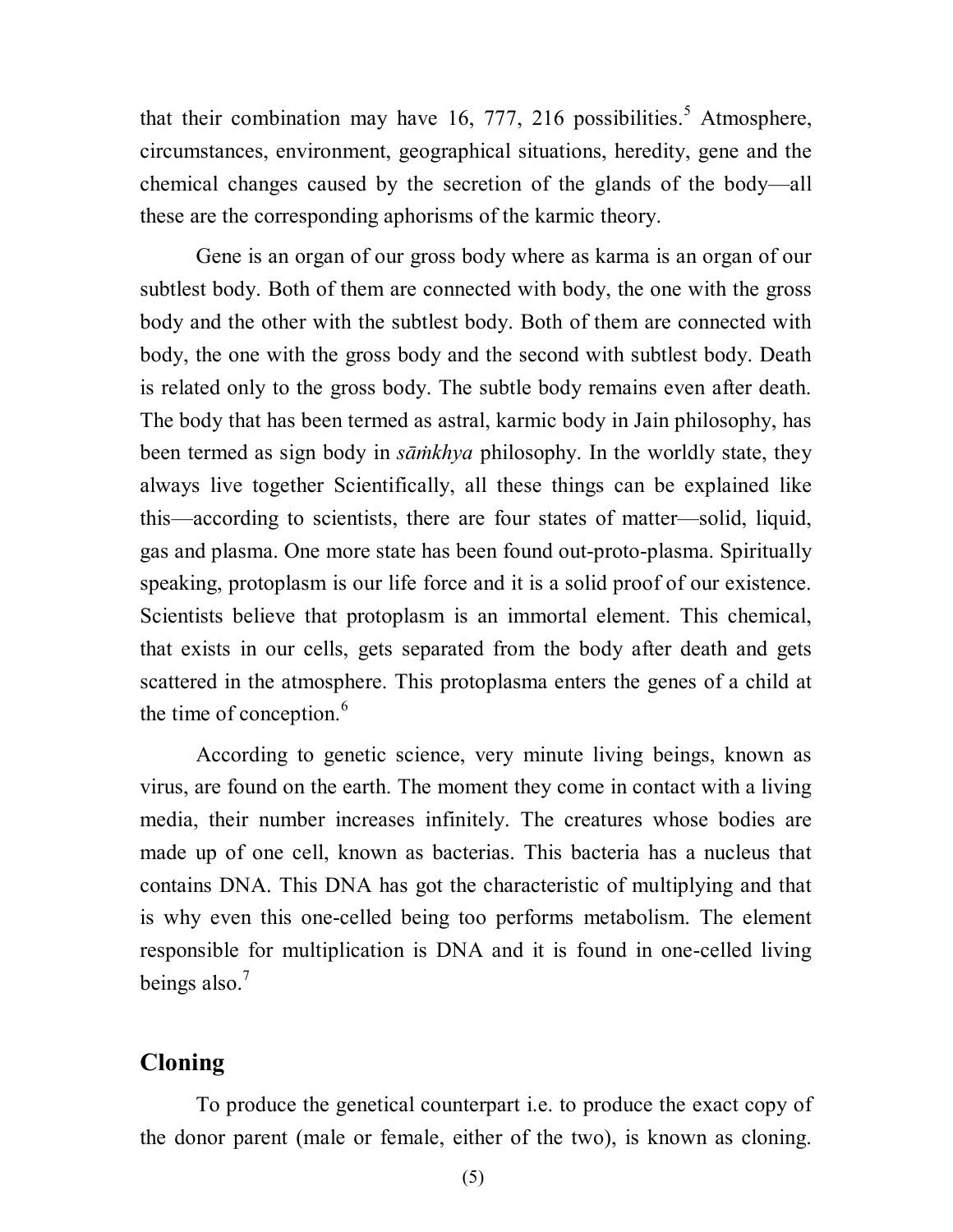that their combination may have 16, 777, 216 possibilities.<sup>5</sup> Atmosphere, circumstances, environment, geographical situations, heredity, gene and the chemical changes caused by the secretion of the glands of the body—all these are the corresponding aphorisms of the karmic theory.

Gene is an organ of our gross body where as karma is an organ of our subtlest body. Both of them are connected with body, the one with the gross body and the other with the subtlest body. Both of them are connected with body, the one with the gross body and the second with subtlest body. Death is related only to the gross body. The subtle body remains even after death. The body that has been termed as astral, karmic body in Jain philosophy, has been termed as sign body in *sāmkhya* philosophy. In the worldly state, they always live together Scientifically, all these things can be explained like this—according to scientists, there are four states of matter—solid, liquid, gas and plasma. One more state has been found out-proto-plasma. Spiritually speaking, protoplasm is our life force and it is a solid proof of our existence. Scientists believe that protoplasm is an immortal element. This chemical, that exists in our cells, gets separated from the body after death and gets scattered in the atmosphere. This protoplasma enters the genes of a child at the time of conception. $<sup>6</sup>$ </sup>

According to genetic science, very minute living beings, known as virus, are found on the earth. The moment they come in contact with a living media, their number increases infinitely. The creatures whose bodies are made up of one cell, known as bacterias. This bacteria has a nucleus that contains DNA. This DNA has got the characteristic of multiplying and that is why even this one-celled being too performs metabolism. The element responsible for multiplication is DNA and it is found in one-celled living beings also. $<sup>7</sup>$ </sup>

### **Cloning**

To produce the genetical counterpart i.e. to produce the exact copy of the donor parent (male or female, either of the two), is known as cloning.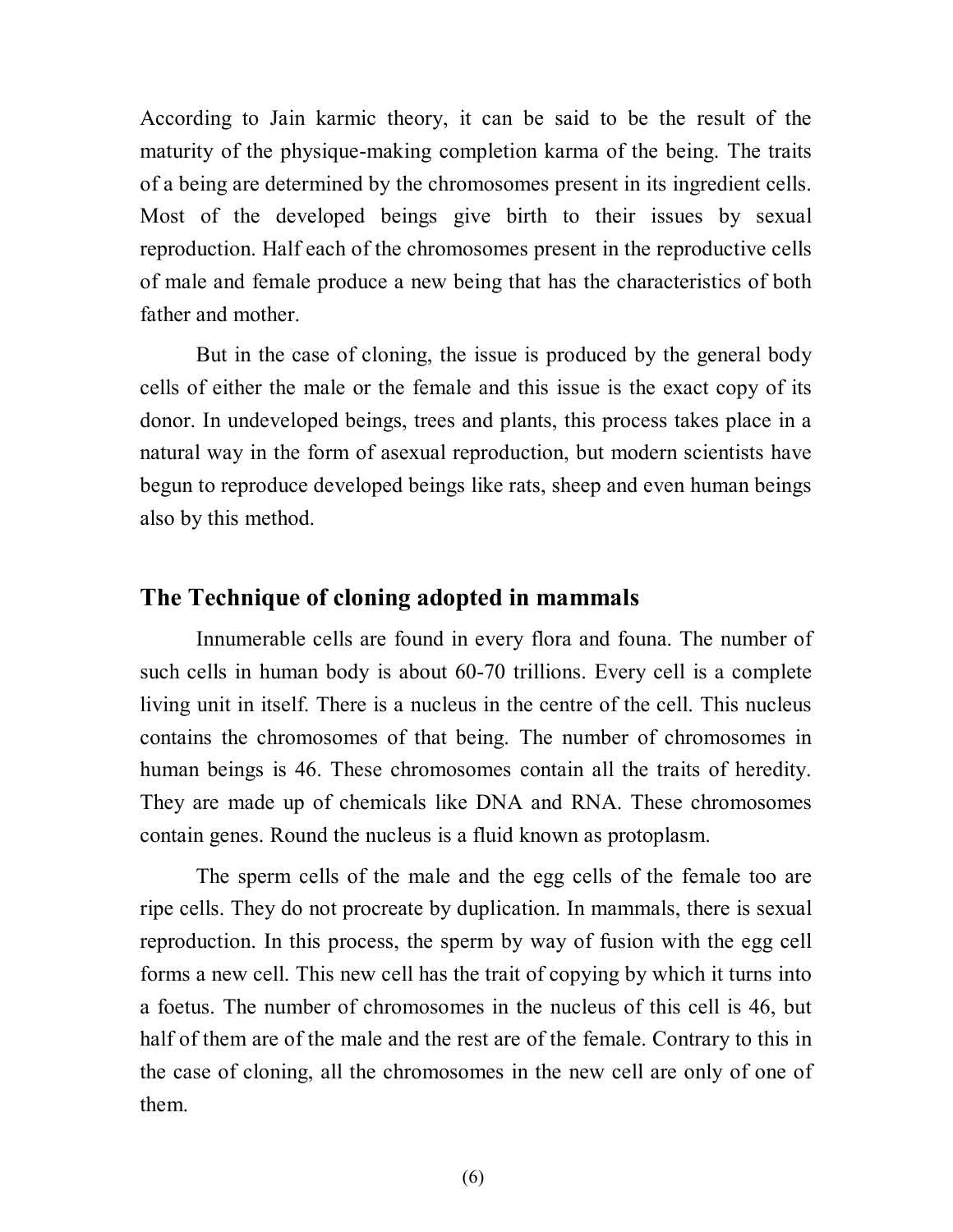According to Jain karmic theory, it can be said to be the result of the maturity of the physique-making completion karma of the being. The traits of a being are determined by the chromosomes present in its ingredient cells. Most of the developed beings give birth to their issues by sexual reproduction. Half each of the chromosomes present in the reproductive cells of male and female produce a new being that has the characteristics of both father and mother.

But in the case of cloning, the issue is produced by the general body cells of either the male or the female and this issue is the exact copy of its donor. In undeveloped beings, trees and plants, this process takes place in a natural way in the form of asexual reproduction, but modern scientists have begun to reproduce developed beings like rats, sheep and even human beings also by this method.

#### **The Technique of cloning adopted in mammals**

Innumerable cells are found in every flora and founa. The number of such cells in human body is about 60-70 trillions. Every cell is a complete living unit in itself. There is a nucleus in the centre of the cell. This nucleus contains the chromosomes of that being. The number of chromosomes in human beings is 46. These chromosomes contain all the traits of heredity. They are made up of chemicals like DNA and RNA. These chromosomes contain genes. Round the nucleus is a fluid known as protoplasm.

The sperm cells of the male and the egg cells of the female too are ripe cells. They do not procreate by duplication. In mammals, there is sexual reproduction. In this process, the sperm by way of fusion with the egg cell forms a new cell. This new cell has the trait of copying by which it turns into a foetus. The number of chromosomes in the nucleus of this cell is 46, but half of them are of the male and the rest are of the female. Contrary to this in the case of cloning, all the chromosomes in the new cell are only of one of them.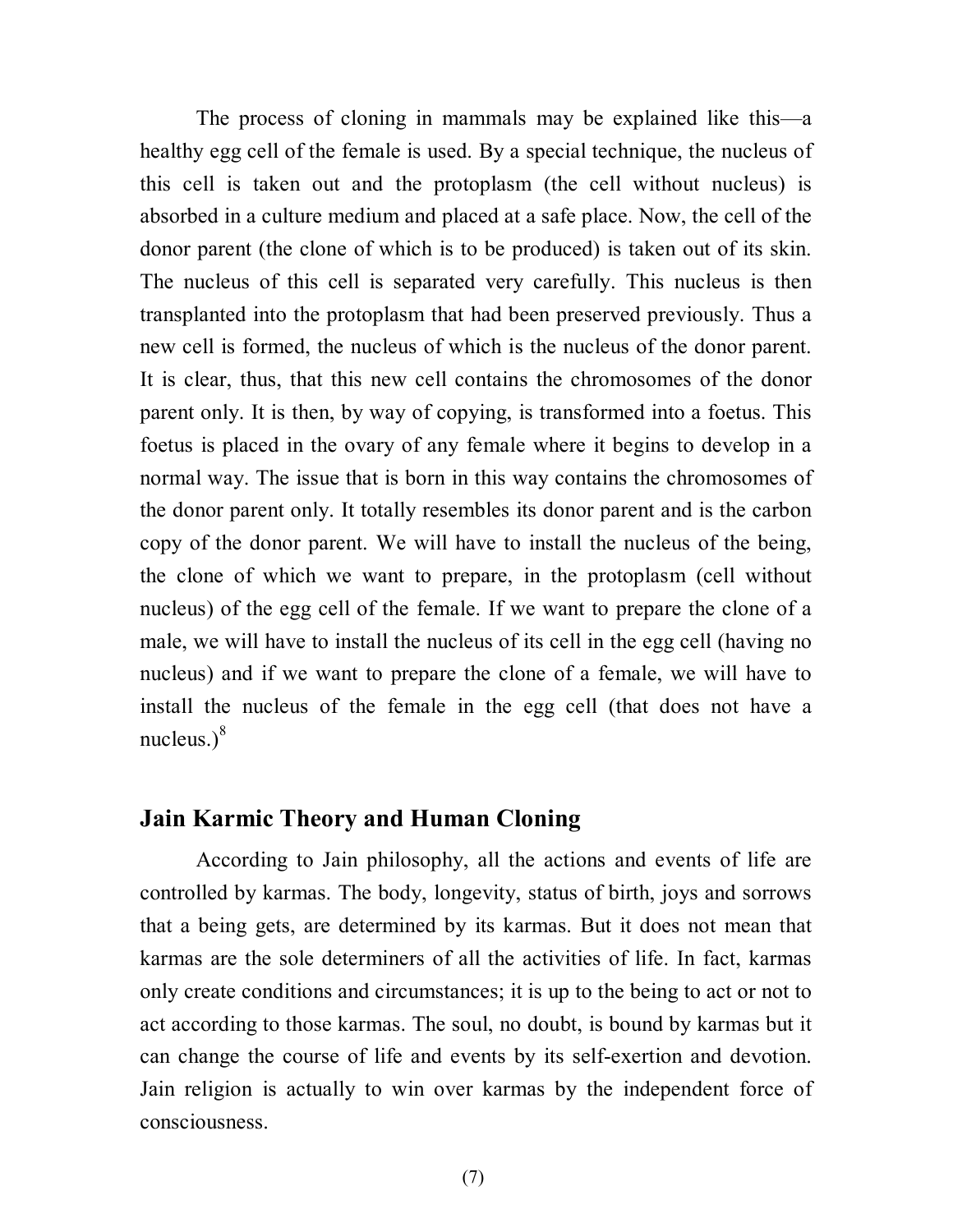The process of cloning in mammals may be explained like this—a healthy egg cell of the female is used. By a special technique, the nucleus of this cell is taken out and the protoplasm (the cell without nucleus) is absorbed in a culture medium and placed at a safe place. Now, the cell of the donor parent (the clone of which is to be produced) is taken out of its skin. The nucleus of this cell is separated very carefully. This nucleus is then transplanted into the protoplasm that had been preserved previously. Thus a new cell is formed, the nucleus of which is the nucleus of the donor parent. It is clear, thus, that this new cell contains the chromosomes of the donor parent only. It is then, by way of copying, is transformed into a foetus. This foetus is placed in the ovary of any female where it begins to develop in a normal way. The issue that is born in this way contains the chromosomes of the donor parent only. It totally resembles its donor parent and is the carbon copy of the donor parent. We will have to install the nucleus of the being, the clone of which we want to prepare, in the protoplasm (cell without nucleus) of the egg cell of the female. If we want to prepare the clone of a male, we will have to install the nucleus of its cell in the egg cell (having no nucleus) and if we want to prepare the clone of a female, we will have to install the nucleus of the female in the egg cell (that does not have a nucleus. $)^8$ 

#### **Jain Karmic Theory and Human Cloning**

According to Jain philosophy, all the actions and events of life are controlled by karmas. The body, longevity, status of birth, joys and sorrows that a being gets, are determined by its karmas. But it does not mean that karmas are the sole determiners of all the activities of life. In fact, karmas only create conditions and circumstances; it is up to the being to act or not to act according to those karmas. The soul, no doubt, is bound by karmas but it can change the course of life and events by its self-exertion and devotion. Jain religion is actually to win over karmas by the independent force of consciousness.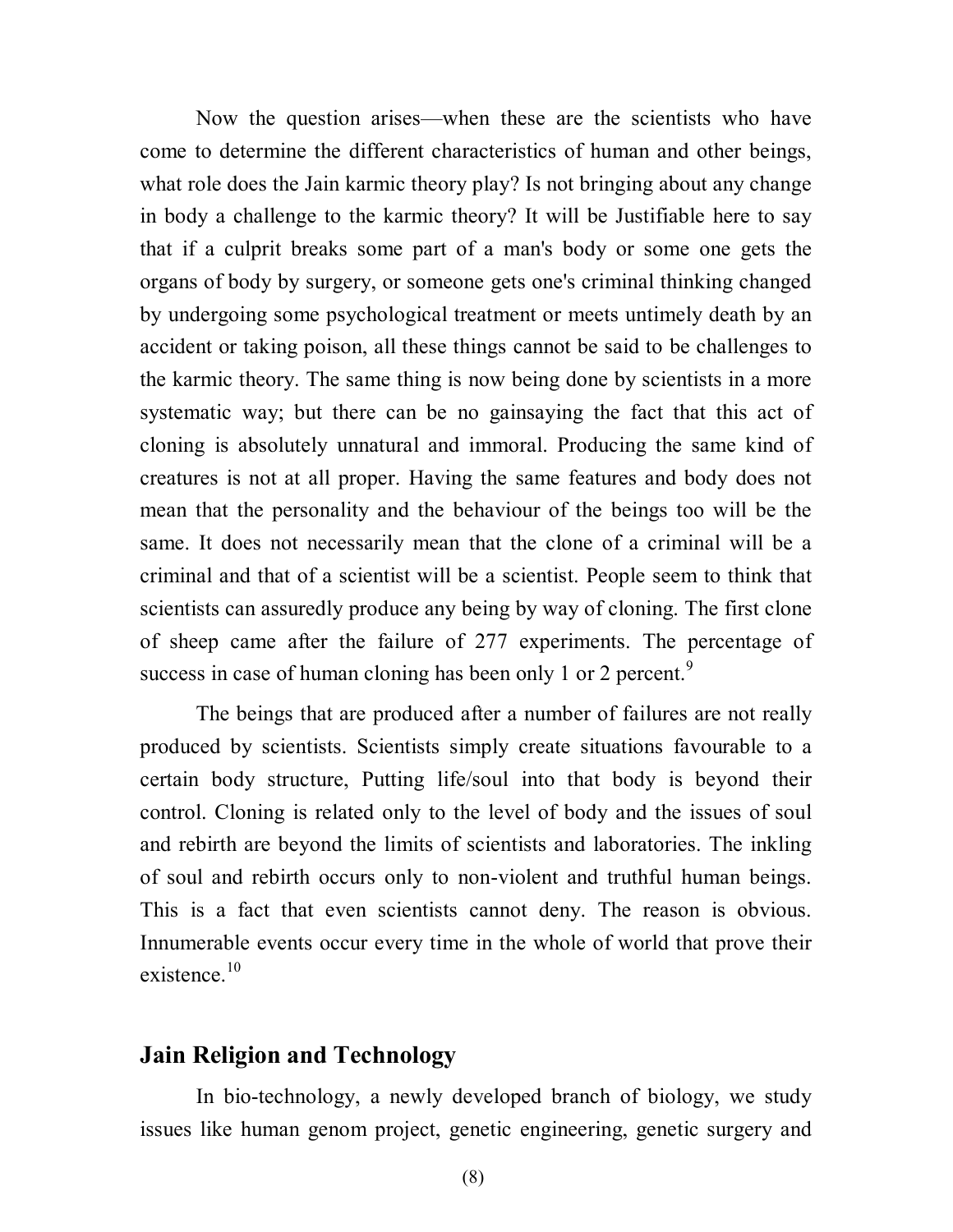Now the question arises—when these are the scientists who have come to determine the different characteristics of human and other beings, what role does the Jain karmic theory play? Is not bringing about any change in body a challenge to the karmic theory? It will be Justifiable here to say that if a culprit breaks some part of a man's body or some one gets the organs of body by surgery, or someone gets one's criminal thinking changed by undergoing some psychological treatment or meets untimely death by an accident or taking poison, all these things cannot be said to be challenges to the karmic theory. The same thing is now being done by scientists in a more systematic way; but there can be no gainsaying the fact that this act of cloning is absolutely unnatural and immoral. Producing the same kind of creatures is not at all proper. Having the same features and body does not mean that the personality and the behaviour of the beings too will be the same. It does not necessarily mean that the clone of a criminal will be a criminal and that of a scientist will be a scientist. People seem to think that scientists can assuredly produce any being by way of cloning. The first clone of sheep came after the failure of 277 experiments. The percentage of success in case of human cloning has been only 1 or 2 percent.<sup>9</sup>

The beings that are produced after a number of failures are not really produced by scientists. Scientists simply create situations favourable to a certain body structure, Putting life/soul into that body is beyond their control. Cloning is related only to the level of body and the issues of soul and rebirth are beyond the limits of scientists and laboratories. The inkling of soul and rebirth occurs only to non-violent and truthful human beings. This is a fact that even scientists cannot deny. The reason is obvious. Innumerable events occur every time in the whole of world that prove their existence.<sup>10</sup>

## **Jain Religion and Technology**

In bio-technology, a newly developed branch of biology, we study issues like human genom project, genetic engineering, genetic surgery and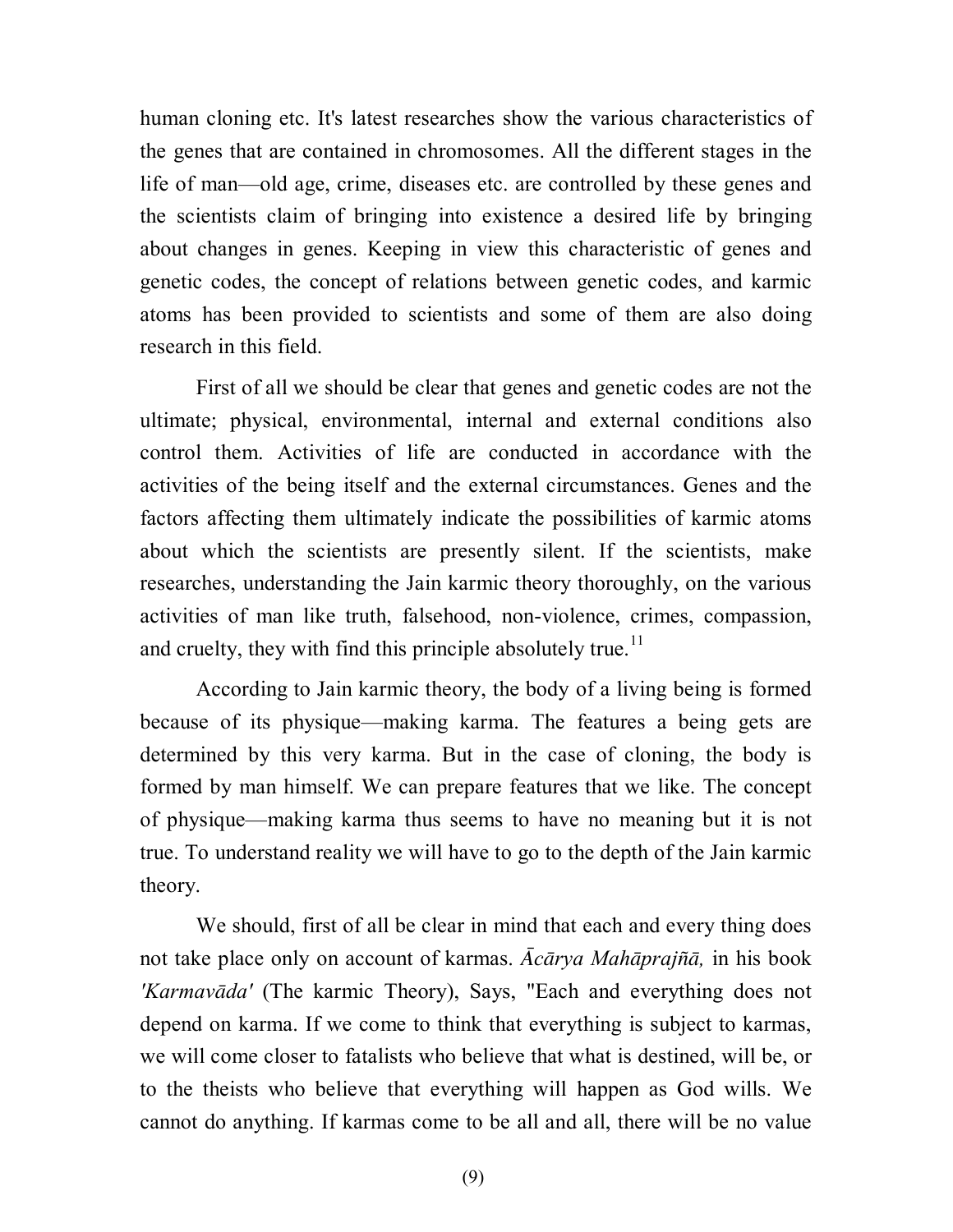human cloning etc. It's latest researches show the various characteristics of the genes that are contained in chromosomes. All the different stages in the life of man—old age, crime, diseases etc. are controlled by these genes and the scientists claim of bringing into existence a desired life by bringing about changes in genes. Keeping in view this characteristic of genes and genetic codes, the concept of relations between genetic codes, and karmic atoms has been provided to scientists and some of them are also doing research in this field.

First of all we should be clear that genes and genetic codes are not the ultimate; physical, environmental, internal and external conditions also control them. Activities of life are conducted in accordance with the activities of the being itself and the external circumstances. Genes and the factors affecting them ultimately indicate the possibilities of karmic atoms about which the scientists are presently silent. If the scientists, make researches, understanding the Jain karmic theory thoroughly, on the various activities of man like truth, falsehood, non-violence, crimes, compassion, and cruelty, they with find this principle absolutely true.<sup>11</sup>

According to Jain karmic theory, the body of a living being is formed because of its physique—making karma. The features a being gets are determined by this very karma. But in the case of cloning, the body is formed by man himself. We can prepare features that we like. The concept of physique—making karma thus seems to have no meaning but it is not true. To understand reality we will have to go to the depth of the Jain karmic theory.

We should, first of all be clear in mind that each and every thing does not take place only on account of karmas. *Acārya Mahāprajñā*, in his book *'Karmavda'* (The karmic Theory), Says, "Each and everything does not depend on karma. If we come to think that everything is subject to karmas, we will come closer to fatalists who believe that what is destined, will be, or to the theists who believe that everything will happen as God wills. We cannot do anything. If karmas come to be all and all, there will be no value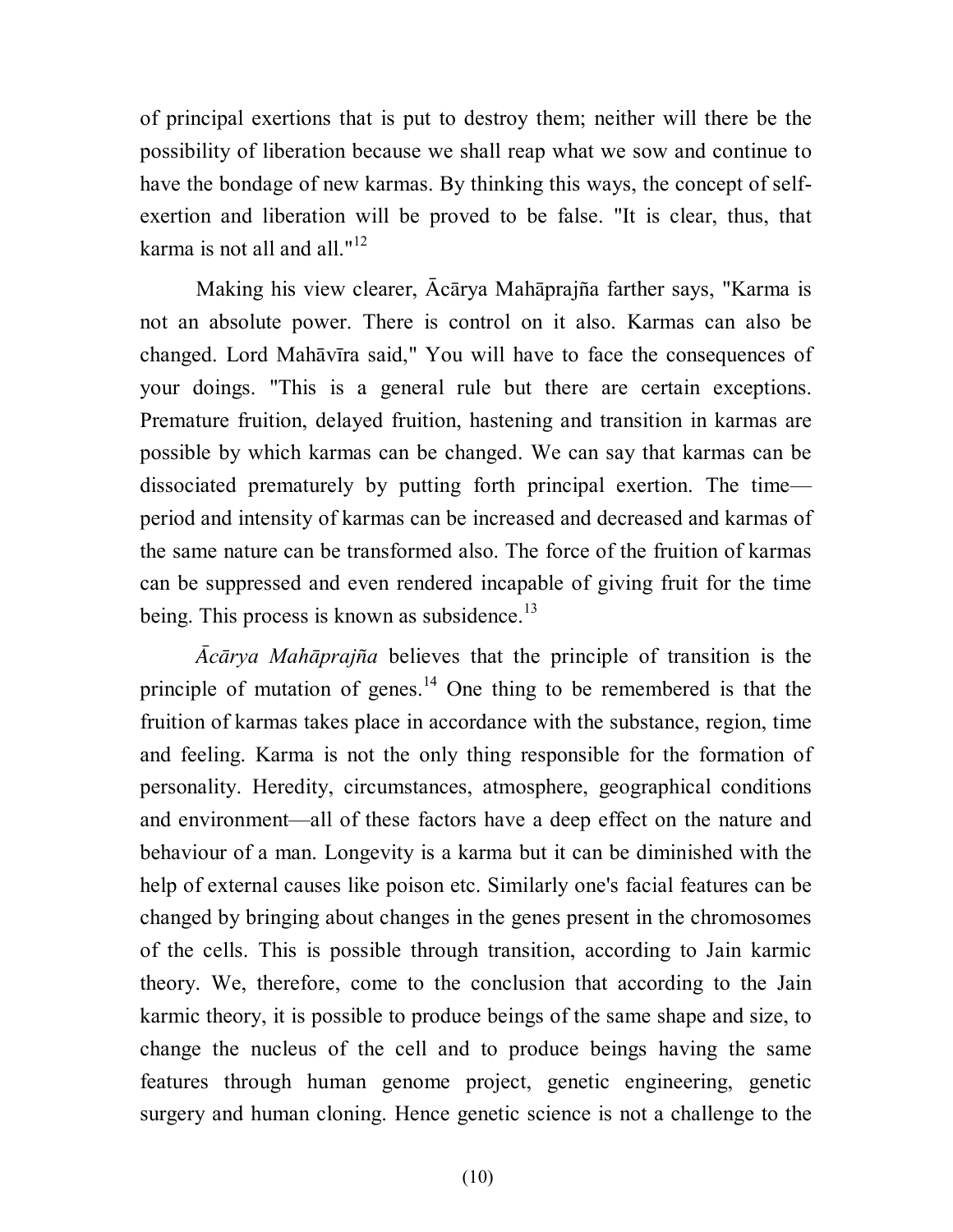of principal exertions that is put to destroy them; neither will there be the possibility of liberation because we shall reap what we sow and continue to have the bondage of new karmas. By thinking this ways, the concept of selfexertion and liberation will be proved to be false. "It is clear, thus, that karma is not all and all." $12$ 

Making his view clearer, Ācārya Mahāprajña farther says, "Karma is not an absolute power. There is control on it also. Karmas can also be changed. Lord Mahāvīra said," You will have to face the consequences of your doings. "This is a general rule but there are certain exceptions. Premature fruition, delayed fruition, hastening and transition in karmas are possible by which karmas can be changed. We can say that karmas can be dissociated prematurely by putting forth principal exertion. The time period and intensity of karmas can be increased and decreased and karmas of the same nature can be transformed also. The force of the fruition of karmas can be suppressed and even rendered incapable of giving fruit for the time being. This process is known as subsidence. $^{13}$ 

*crya Mahpraja* believes that the principle of transition is the principle of mutation of genes.<sup>14</sup> One thing to be remembered is that the fruition of karmas takes place in accordance with the substance, region, time and feeling. Karma is not the only thing responsible for the formation of personality. Heredity, circumstances, atmosphere, geographical conditions and environment—all of these factors have a deep effect on the nature and behaviour of a man. Longevity is a karma but it can be diminished with the help of external causes like poison etc. Similarly one's facial features can be changed by bringing about changes in the genes present in the chromosomes of the cells. This is possible through transition, according to Jain karmic theory. We, therefore, come to the conclusion that according to the Jain karmic theory, it is possible to produce beings of the same shape and size, to change the nucleus of the cell and to produce beings having the same features through human genome project, genetic engineering, genetic surgery and human cloning. Hence genetic science is not a challenge to the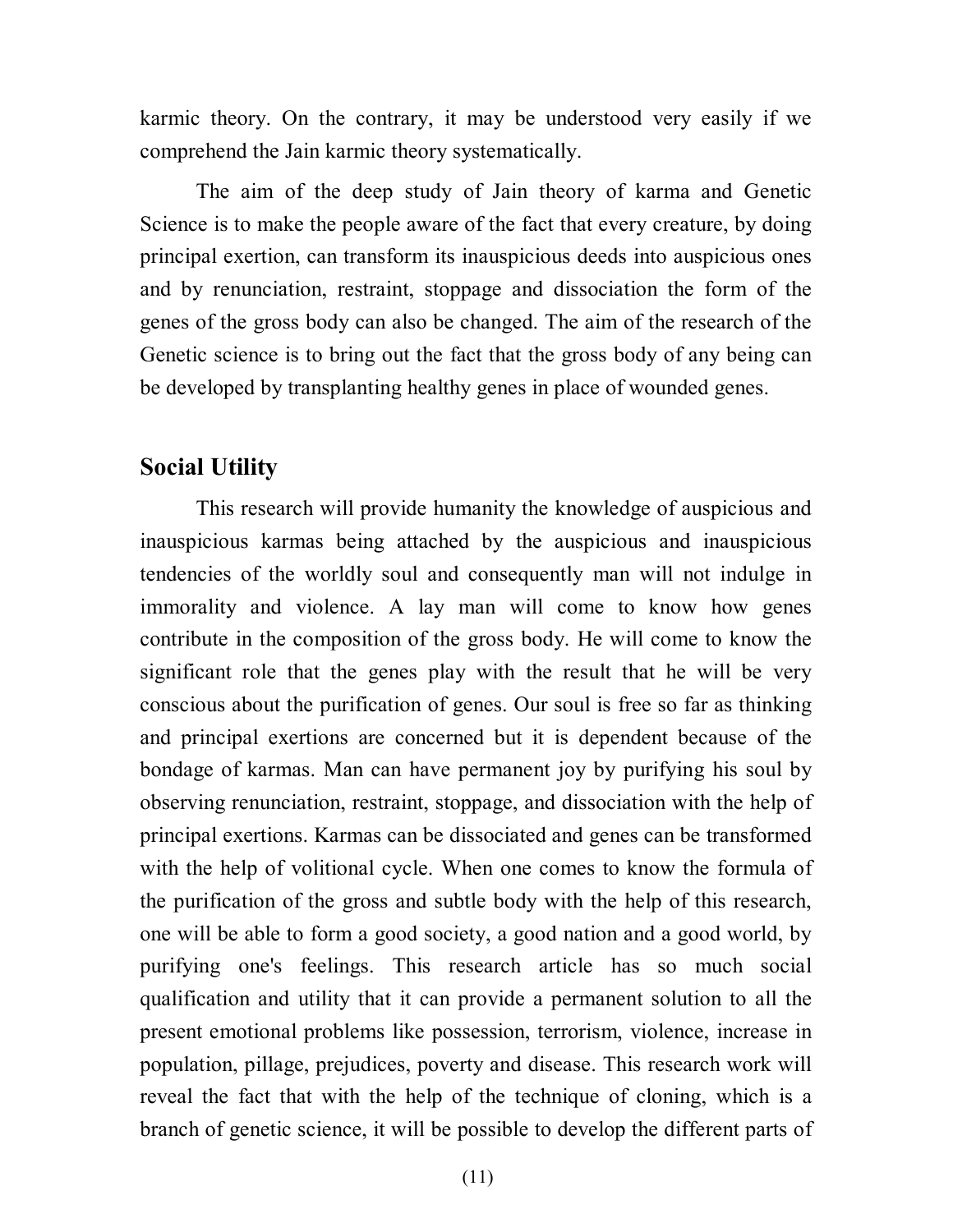karmic theory. On the contrary, it may be understood very easily if we comprehend the Jain karmic theory systematically.

The aim of the deep study of Jain theory of karma and Genetic Science is to make the people aware of the fact that every creature, by doing principal exertion, can transform its inauspicious deeds into auspicious ones and by renunciation, restraint, stoppage and dissociation the form of the genes of the gross body can also be changed. The aim of the research of the Genetic science is to bring out the fact that the gross body of any being can be developed by transplanting healthy genes in place of wounded genes.

### **Social Utility**

This research will provide humanity the knowledge of auspicious and inauspicious karmas being attached by the auspicious and inauspicious tendencies of the worldly soul and consequently man will not indulge in immorality and violence. A lay man will come to know how genes contribute in the composition of the gross body. He will come to know the significant role that the genes play with the result that he will be very conscious about the purification of genes. Our soul is free so far as thinking and principal exertions are concerned but it is dependent because of the bondage of karmas. Man can have permanent joy by purifying his soul by observing renunciation, restraint, stoppage, and dissociation with the help of principal exertions. Karmas can be dissociated and genes can be transformed with the help of volitional cycle. When one comes to know the formula of the purification of the gross and subtle body with the help of this research, one will be able to form a good society, a good nation and a good world, by purifying one's feelings. This research article has so much social qualification and utility that it can provide a permanent solution to all the present emotional problems like possession, terrorism, violence, increase in population, pillage, prejudices, poverty and disease. This research work will reveal the fact that with the help of the technique of cloning, which is a branch of genetic science, it will be possible to develop the different parts of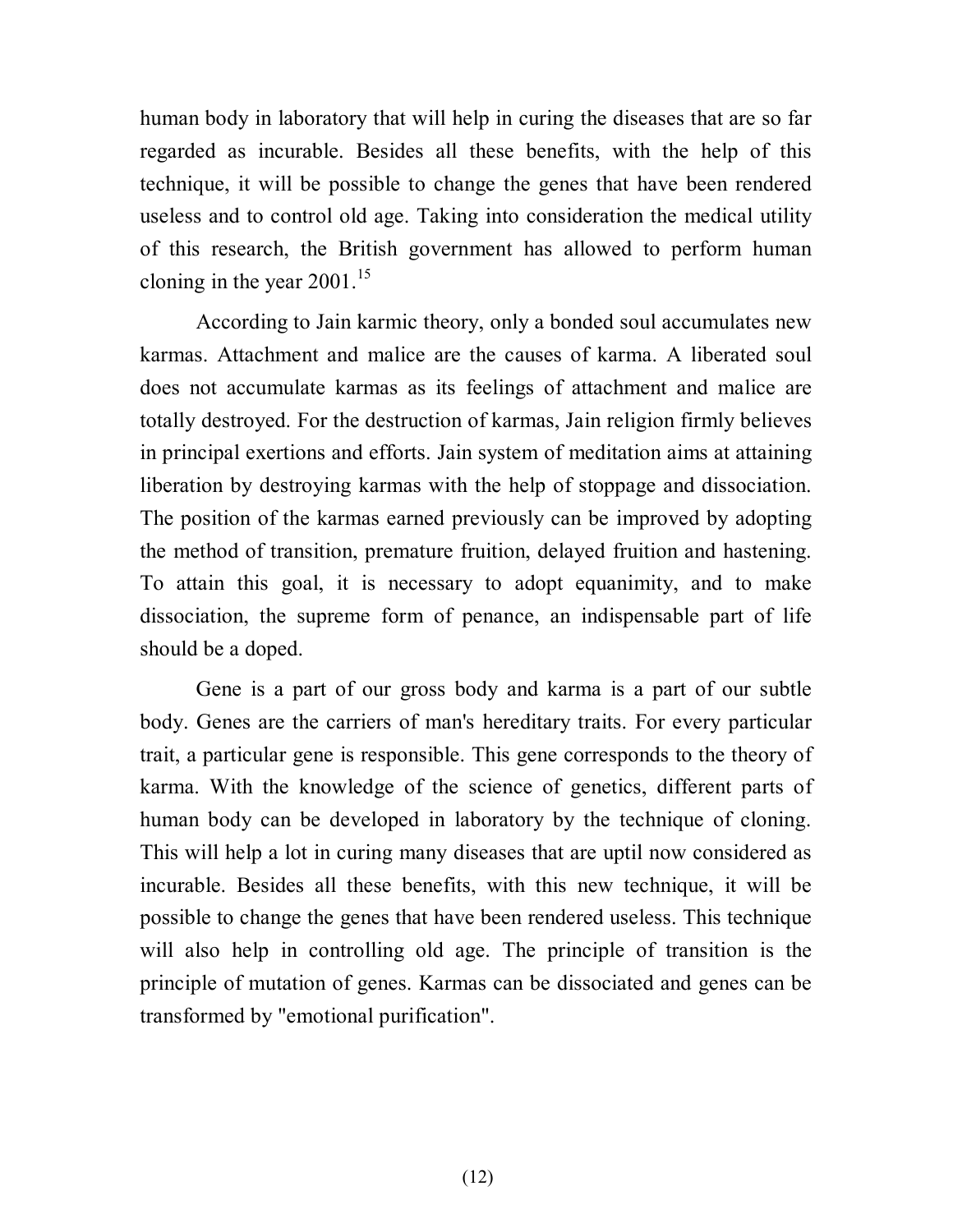human body in laboratory that will help in curing the diseases that are so far regarded as incurable. Besides all these benefits, with the help of this technique, it will be possible to change the genes that have been rendered useless and to control old age. Taking into consideration the medical utility of this research, the British government has allowed to perform human cloning in the year  $2001$ .<sup>15</sup>

According to Jain karmic theory, only a bonded soul accumulates new karmas. Attachment and malice are the causes of karma. A liberated soul does not accumulate karmas as its feelings of attachment and malice are totally destroyed. For the destruction of karmas, Jain religion firmly believes in principal exertions and efforts. Jain system of meditation aims at attaining liberation by destroying karmas with the help of stoppage and dissociation. The position of the karmas earned previously can be improved by adopting the method of transition, premature fruition, delayed fruition and hastening. To attain this goal, it is necessary to adopt equanimity, and to make dissociation, the supreme form of penance, an indispensable part of life should be a doped.

Gene is a part of our gross body and karma is a part of our subtle body. Genes are the carriers of man's hereditary traits. For every particular trait, a particular gene is responsible. This gene corresponds to the theory of karma. With the knowledge of the science of genetics, different parts of human body can be developed in laboratory by the technique of cloning. This will help a lot in curing many diseases that are uptil now considered as incurable. Besides all these benefits, with this new technique, it will be possible to change the genes that have been rendered useless. This technique will also help in controlling old age. The principle of transition is the principle of mutation of genes. Karmas can be dissociated and genes can be transformed by "emotional purification".